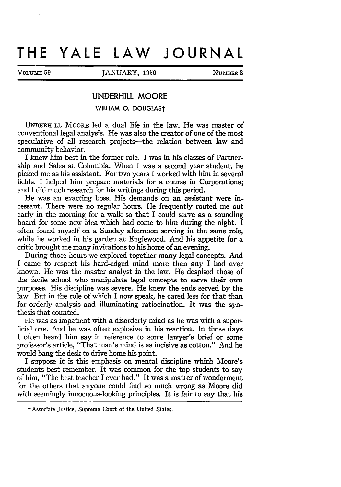## **THE YALE LAW JOURNAL**

VOLUME 59 JANUARY, 1950 NUMBER 2

## **UNDERHILL MOORE**

**WILLIAM O. DOUGLAST** 

UNDERHILL MOORE led a dual life in the law. He was master of conventional legal analysis. He was also the creator of one of the most speculative of all research projects-the relation between law and community behavior.

I knew him best in the former role. I was in his classes of Partnership and Sales at Columbia. When I was a second year student, he picked me as his assistant. For two years I worked with him in several fields. I helped him prepare materials for a course in Corporations; and I did much research for his writings during this period.

He was an exacting boss. His demands on an assistant were incessant. There were no regular hours. He frequently routed me out early in the morning for a walk so that I could serve as a sounding board for some new idea which had come to him during the night. I often found myself on a Sunday afternoon serving in the same role, while he worked in his garden at Englewood. And his appetite for a critic brought me many invitations to his home of an evening.

During those hours we explored together many legal concepts. And I came to respect his hard-edged mind more than any I had ever known. He was the master analyst in the law. He despised those of the facile school who manipulate legal concepts to serve their own purposes. His discipline was severe. He knew the ends served by the law. But in the role of which I now speak, he cared less for that than for orderly analysis and illuminating ratiocination. It was the synthesis that counted.

He was as impatient with a disorderly mind as he was with a superficial one. And he was often explosive in his reaction. In those days I often heard him say in reference to some lawyer's brief or some professor's article, "That man's mind is as incisive as cotton." And he would bang the desk to drive home his point.

I suppose it is this emphasis on mental discipline which Moore's students best remember. It was common for the top students to say of him, "The best teacher I ever had." It was a matter of wonderment for the others that anyone could find so much wrong as Moore did with seemingly innocuous-looking principles. It is fair to say that his

 $\dagger$  Associate Justice, Supreme Court of the United States.